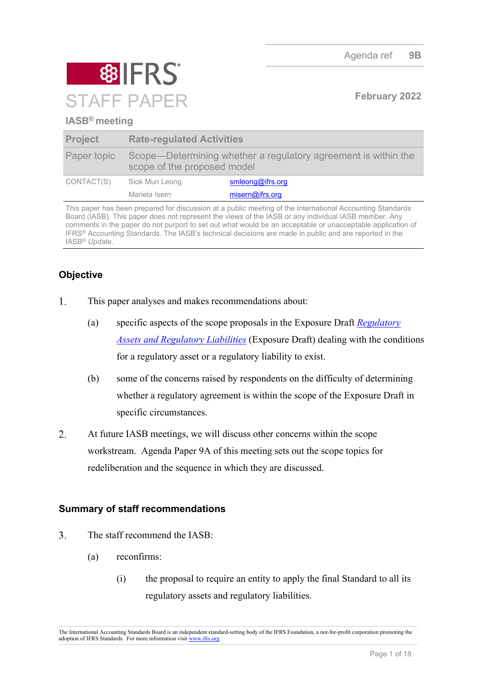

# **IASB® meeting**

| <b>Project</b> | <b>Rate-regulated Activities</b>                                                              |                  |
|----------------|-----------------------------------------------------------------------------------------------|------------------|
| Paper topic    | Scope—Determining whether a regulatory agreement is within the<br>scope of the proposed model |                  |
| CONTACT(S)     | Siok Mun Leong                                                                                | smleong@ifrs.org |
|                | Mariela Isern                                                                                 | misern@ifrs.org  |

This paper has been prepared for discussion at a public meeting of the International Accounting Standards Board (IASB). This paper does not represent the views of the IASB or any individual IASB member. Any comments in the paper do not purport to set out what would be an acceptable or unacceptable application of IFRS® Accounting Standards. The IASB's technical decisions are made in public and are reported in the IASB® *Update*.

# **Objective**

- $1<sup>1</sup>$ This paper analyses and makes recommendations about:
	- (a) specific aspects of the scope proposals in the Exposure Draft *[Regulatory](https://www.ifrs.org/content/dam/ifrs/project/rate-regulated-activities/published-documents/ed2021-rra.pdf)  [Assets and Regulatory Liabilities](https://www.ifrs.org/content/dam/ifrs/project/rate-regulated-activities/published-documents/ed2021-rra.pdf)* (Exposure Draft) dealing with the conditions for a regulatory asset or a regulatory liability to exist.
	- (b) some of the concerns raised by respondents on the difficulty of determining whether a regulatory agreement is within the scope of the Exposure Draft in specific circumstances.
- $2.$ At future IASB meetings, we will discuss other concerns within the scope workstream. Agenda Paper 9A of this meeting sets out the scope topics for redeliberation and the sequence in which they are discussed.

# **Summary of staff recommendations**

- $\overline{3}$ . The staff recommend the IASB:
	- (a) reconfirms:
		- (i) the proposal to require an entity to apply the final Standard to all its regulatory assets and regulatory liabilities.

The International Accounting Standards Board is an independent standard-setting body of the IFRS Foundation, a not-for-profit corporation promoting the adoption of IFRS Standards. For more information visit [www.ifrs.org.](http://www.ifrs.org/)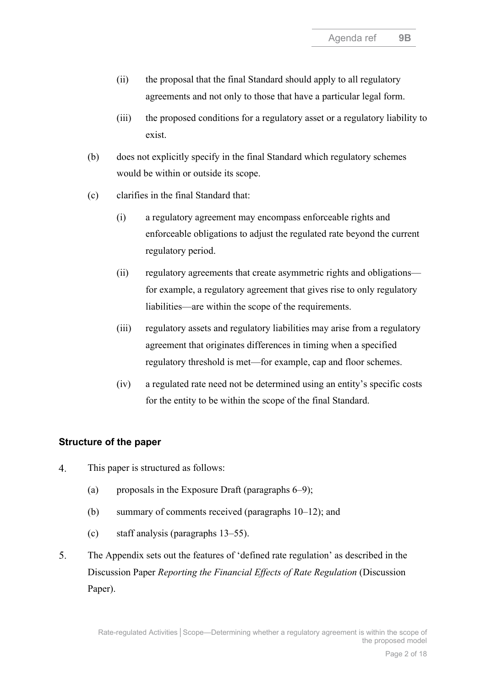- (ii) the proposal that the final Standard should apply to all regulatory agreements and not only to those that have a particular legal form.
- (iii) the proposed conditions for a regulatory asset or a regulatory liability to exist.
- (b) does not explicitly specify in the final Standard which regulatory schemes would be within or outside its scope.
- (c) clarifies in the final Standard that:
	- (i) a regulatory agreement may encompass enforceable rights and enforceable obligations to adjust the regulated rate beyond the current regulatory period.
	- (ii) regulatory agreements that create asymmetric rights and obligations for example, a regulatory agreement that gives rise to only regulatory liabilities—are within the scope of the requirements.
	- (iii) regulatory assets and regulatory liabilities may arise from a regulatory agreement that originates differences in timing when a specified regulatory threshold is met—for example, cap and floor schemes.
	- (iv) a regulated rate need not be determined using an entity's specific costs for the entity to be within the scope of the final Standard.

# **Structure of the paper**

- $4.$ This paper is structured as follows:
	- (a) proposals in the Exposure Draft (paragraphs  $6-9$ );
	- (b) summary of comments received (paragraphs [10](#page-2-2)[–12\)](#page-3-0); and
	- (c) staff analysis (paragraphs [13](#page-3-1)[–55\)](#page-13-0).
- 5. The Appendix sets out the features of 'defined rate regulation' as described in the Discussion Paper *Reporting the Financial Effects of Rate Regulation* (Discussion Paper).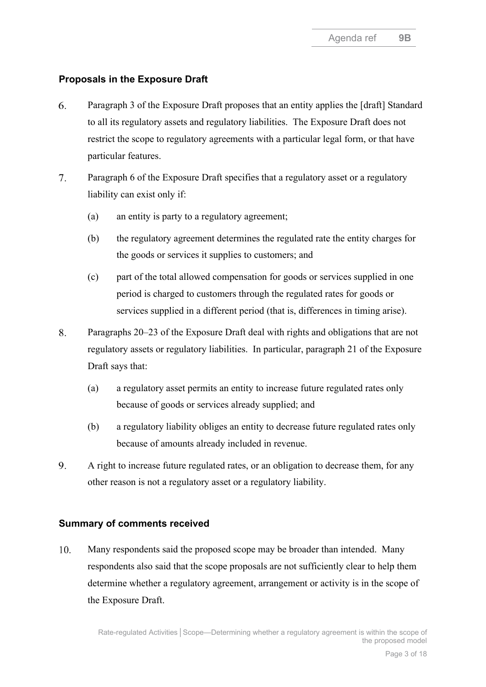# **Proposals in the Exposure Draft**

- <span id="page-2-0"></span> $6<sup>1</sup>$ Paragraph 3 of the Exposure Draft proposes that an entity applies the [draft] Standard to all its regulatory assets and regulatory liabilities. The Exposure Draft does not restrict the scope to regulatory agreements with a particular legal form, or that have particular features.
- 7. Paragraph 6 of the Exposure Draft specifies that a regulatory asset or a regulatory liability can exist only if:
	- (a) an entity is party to a regulatory agreement;
	- (b) the regulatory agreement determines the regulated rate the entity charges for the goods or services it supplies to customers; and
	- (c) part of the total allowed compensation for goods or services supplied in one period is charged to customers through the regulated rates for goods or services supplied in a different period (that is, differences in timing arise).
- 8. Paragraphs 20–23 of the Exposure Draft deal with rights and obligations that are not regulatory assets or regulatory liabilities. In particular, paragraph 21 of the Exposure Draft says that:
	- (a) a regulatory asset permits an entity to increase future regulated rates only because of goods or services already supplied; and
	- (b) a regulatory liability obliges an entity to decrease future regulated rates only because of amounts already included in revenue.
- <span id="page-2-1"></span>9. A right to increase future regulated rates, or an obligation to decrease them, for any other reason is not a regulatory asset or a regulatory liability.

# **Summary of comments received**

<span id="page-2-2"></span>10. Many respondents said the proposed scope may be broader than intended. Many respondents also said that the scope proposals are not sufficiently clear to help them determine whether a regulatory agreement, arrangement or activity is in the scope of the Exposure Draft.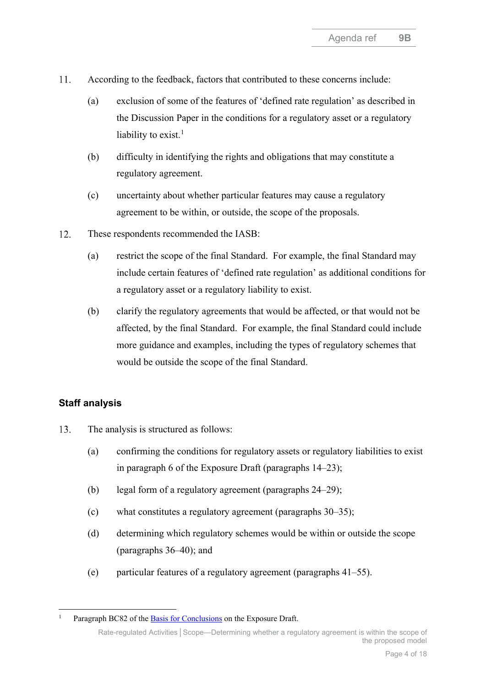- 11. According to the feedback, factors that contributed to these concerns include:
	- (a) exclusion of some of the features of 'defined rate regulation' as described in the Discussion Paper in the conditions for a regulatory asset or a regulatory liability to exist. $<sup>1</sup>$  $<sup>1</sup>$  $<sup>1</sup>$ </sup>
	- (b) difficulty in identifying the rights and obligations that may constitute a regulatory agreement.
	- (c) uncertainty about whether particular features may cause a regulatory agreement to be within, or outside, the scope of the proposals.
- <span id="page-3-0"></span>12. These respondents recommended the IASB:
	- (a) restrict the scope of the final Standard. For example, the final Standard may include certain features of 'defined rate regulation' as additional conditions for a regulatory asset or a regulatory liability to exist.
	- (b) clarify the regulatory agreements that would be affected, or that would not be affected, by the final Standard. For example, the final Standard could include more guidance and examples, including the types of regulatory schemes that would be outside the scope of the final Standard.

# **Staff analysis**

- <span id="page-3-1"></span>13. The analysis is structured as follows:
	- (a) confirming the conditions for regulatory assets or regulatory liabilities to exist in paragraph 6 of the Exposure Draft (paragraphs [14](#page-4-0)[–23\)](#page-6-0);
	- (b) legal form of a regulatory agreement (paragraphs [24–](#page-7-0)[29\)](#page-7-1);
	- (c) what constitutes a regulatory agreement (paragraphs [30–](#page-8-0)[35\)](#page-9-0);
	- (d) determining which regulatory schemes would be within or outside the scope (paragraphs [36](#page-9-1)[–40\)](#page-10-0); and
	- (e) particular features of a regulatory agreement (paragraphs [41](#page-10-1)[–55\)](#page-13-0).

<span id="page-3-2"></span>Paragraph BC82 of the [Basis for Conclusions](https://www.ifrs.org/content/dam/ifrs/project/rate-regulated-activities/published-documents/ed2021-rra-bc.pdf) on the Exposure Draft.

Rate-regulated Activities**│**Scope—Determining whether a regulatory agreement is within the scope of the proposed model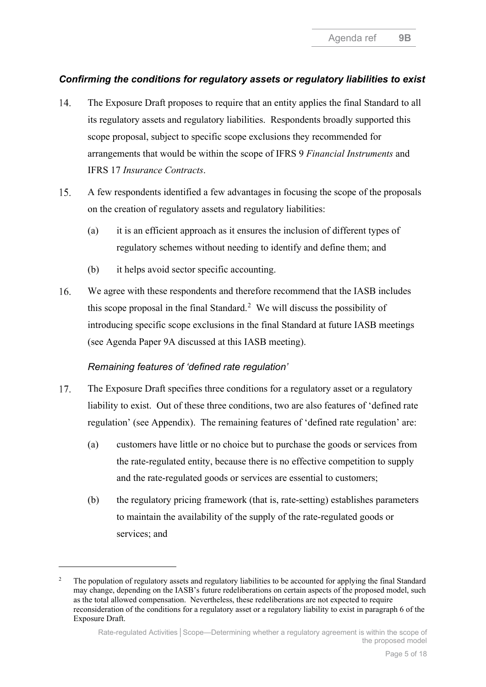# *Confirming the conditions for regulatory assets or regulatory liabilities to exist*

- <span id="page-4-0"></span>14. The Exposure Draft proposes to require that an entity applies the final Standard to all its regulatory assets and regulatory liabilities. Respondents broadly supported this scope proposal, subject to specific scope exclusions they recommended for arrangements that would be within the scope of IFRS 9 *Financial Instruments* and IFRS 17 *Insurance Contracts*.
- 15. A few respondents identified a few advantages in focusing the scope of the proposals on the creation of regulatory assets and regulatory liabilities:
	- (a) it is an efficient approach as it ensures the inclusion of different types of regulatory schemes without needing to identify and define them; and
	- (b) it helps avoid sector specific accounting.
- <span id="page-4-5"></span>We agree with these respondents and therefore recommend that the IASB includes  $16.$ this scope proposal in the final Standard.<sup>[2](#page-4-1)</sup> We will discuss the possibility of introducing specific scope exclusions in the final Standard at future IASB meetings (see Agenda Paper 9A discussed at this IASB meeting).

# *Remaining features of 'defined rate regulation'*

- <span id="page-4-3"></span><span id="page-4-2"></span>17. The Exposure Draft specifies three conditions for a regulatory asset or a regulatory liability to exist. Out of these three conditions, two are also features of 'defined rate regulation' (see Appendix). The remaining features of 'defined rate regulation' are:
	- (a) customers have little or no choice but to purchase the goods or services from the rate-regulated entity, because there is no effective competition to supply and the rate-regulated goods or services are essential to customers;
	- (b) the regulatory pricing framework (that is, rate-setting) establishes parameters to maintain the availability of the supply of the rate-regulated goods or services; and

<span id="page-4-4"></span><span id="page-4-1"></span><sup>&</sup>lt;sup>2</sup> The population of regulatory assets and regulatory liabilities to be accounted for applying the final Standard may change, depending on the IASB's future redeliberations on certain aspects of the proposed model, such as the total allowed compensation. Nevertheless, these redeliberations are not expected to require reconsideration of the conditions for a regulatory asset or a regulatory liability to exist in paragraph 6 of the Exposure Draft.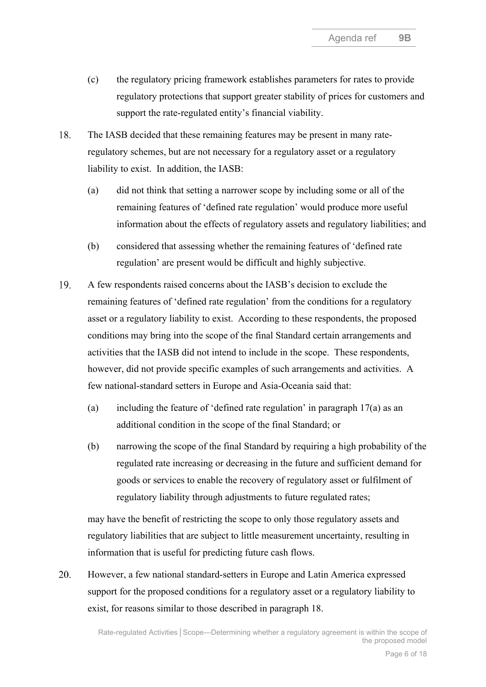- <span id="page-5-2"></span>(c) the regulatory pricing framework establishes parameters for rates to provide regulatory protections that support greater stability of prices for customers and support the rate-regulated entity's financial viability.
- <span id="page-5-0"></span>18. The IASB decided that these remaining features may be present in many rateregulatory schemes, but are not necessary for a regulatory asset or a regulatory liability to exist. In addition, the IASB:
	- (a) did not think that setting a narrower scope by including some or all of the remaining features of 'defined rate regulation' would produce more useful information about the effects of regulatory assets and regulatory liabilities; and
	- (b) considered that assessing whether the remaining features of 'defined rate regulation' are present would be difficult and highly subjective.
- 19. A few respondents raised concerns about the IASB's decision to exclude the remaining features of 'defined rate regulation' from the conditions for a regulatory asset or a regulatory liability to exist. According to these respondents, the proposed conditions may bring into the scope of the final Standard certain arrangements and activities that the IASB did not intend to include in the scope. These respondents, however, did not provide specific examples of such arrangements and activities. A few national-standard setters in Europe and Asia-Oceania said that:
	- (a) including the feature of 'defined rate regulation' in paragraph [17\(](#page-4-2)a) as an additional condition in the scope of the final Standard; or
	- (b) narrowing the scope of the final Standard by requiring a high probability of the regulated rate increasing or decreasing in the future and sufficient demand for goods or services to enable the recovery of regulatory asset or fulfilment of regulatory liability through adjustments to future regulated rates;

may have the benefit of restricting the scope to only those regulatory assets and regulatory liabilities that are subject to little measurement uncertainty, resulting in information that is useful for predicting future cash flows.

<span id="page-5-1"></span>20. However, a few national standard-setters in Europe and Latin America expressed support for the proposed conditions for a regulatory asset or a regulatory liability to exist, for reasons similar to those described in paragraph [18.](#page-5-0)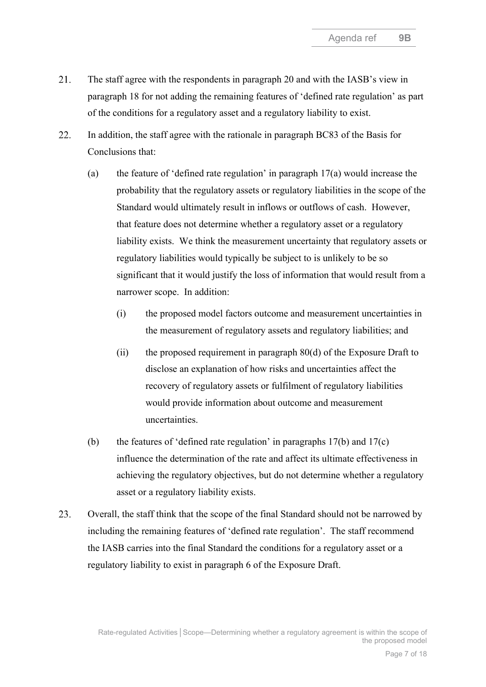- $21.$ The staff agree with the respondents in paragraph [20](#page-5-1) and with the IASB's view in paragraph [18](#page-5-0) for not adding the remaining features of 'defined rate regulation' as part of the conditions for a regulatory asset and a regulatory liability to exist.
- 22. In addition, the staff agree with the rationale in paragraph BC83 of the Basis for Conclusions that:
	- (a) the feature of 'defined rate regulation' in paragraph [17\(a\)](#page-4-3) would increase the probability that the regulatory assets or regulatory liabilities in the scope of the Standard would ultimately result in inflows or outflows of cash. However, that feature does not determine whether a regulatory asset or a regulatory liability exists. We think the measurement uncertainty that regulatory assets or regulatory liabilities would typically be subject to is unlikely to be so significant that it would justify the loss of information that would result from a narrower scope. In addition:
		- (i) the proposed model factors outcome and measurement uncertainties in the measurement of regulatory assets and regulatory liabilities; and
		- (ii) the proposed requirement in paragraph  $80(d)$  of the Exposure Draft to disclose an explanation of how risks and uncertainties affect the recovery of regulatory assets or fulfilment of regulatory liabilities would provide information about outcome and measurement uncertainties.
	- (b) the features of 'defined rate regulation' in paragraphs  $17(b)$  and  $17(c)$ influence the determination of the rate and affect its ultimate effectiveness in achieving the regulatory objectives, but do not determine whether a regulatory asset or a regulatory liability exists.
- <span id="page-6-0"></span>23. Overall, the staff think that the scope of the final Standard should not be narrowed by including the remaining features of 'defined rate regulation'. The staff recommend the IASB carries into the final Standard the conditions for a regulatory asset or a regulatory liability to exist in paragraph 6 of the Exposure Draft.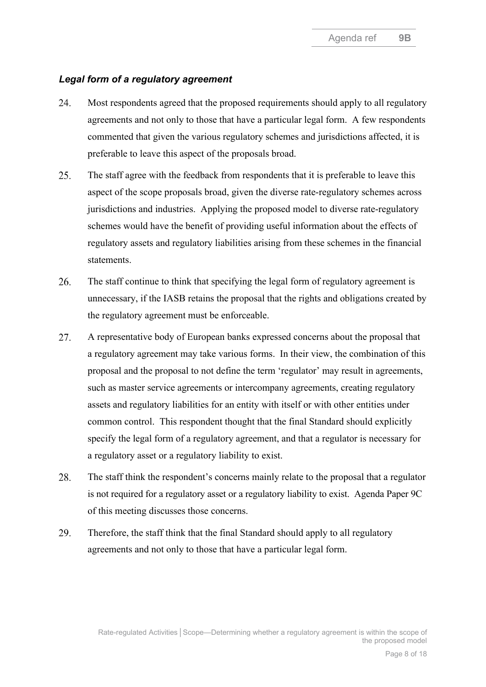### *Legal form of a regulatory agreement*

- <span id="page-7-0"></span>24. Most respondents agreed that the proposed requirements should apply to all regulatory agreements and not only to those that have a particular legal form. A few respondents commented that given the various regulatory schemes and jurisdictions affected, it is preferable to leave this aspect of the proposals broad.
- 25. The staff agree with the feedback from respondents that it is preferable to leave this aspect of the scope proposals broad, given the diverse rate-regulatory schemes across jurisdictions and industries. Applying the proposed model to diverse rate-regulatory schemes would have the benefit of providing useful information about the effects of regulatory assets and regulatory liabilities arising from these schemes in the financial statements.
- 26. The staff continue to think that specifying the legal form of regulatory agreement is unnecessary, if the IASB retains the proposal that the rights and obligations created by the regulatory agreement must be enforceable.
- 27. A representative body of European banks expressed concerns about the proposal that a regulatory agreement may take various forms. In their view, the combination of this proposal and the proposal to not define the term 'regulator' may result in agreements, such as master service agreements or intercompany agreements, creating regulatory assets and regulatory liabilities for an entity with itself or with other entities under common control. This respondent thought that the final Standard should explicitly specify the legal form of a regulatory agreement, and that a regulator is necessary for a regulatory asset or a regulatory liability to exist.
- 28. The staff think the respondent's concerns mainly relate to the proposal that a regulator is not required for a regulatory asset or a regulatory liability to exist. Agenda Paper 9C of this meeting discusses those concerns.
- <span id="page-7-1"></span>29. Therefore, the staff think that the final Standard should apply to all regulatory agreements and not only to those that have a particular legal form.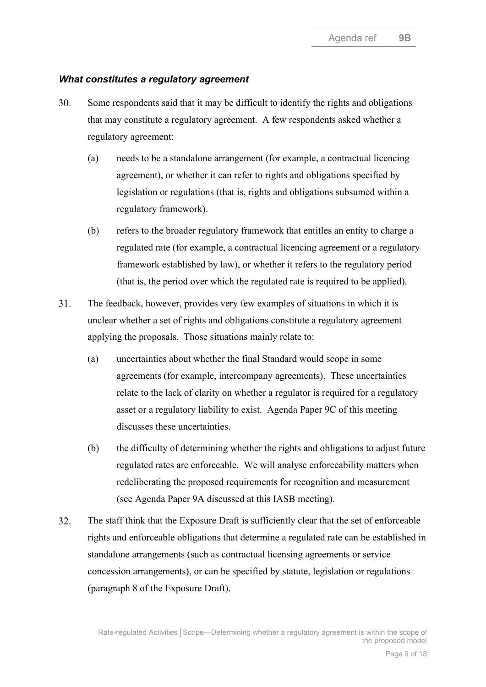#### *What constitutes a regulatory agreement*

- <span id="page-8-0"></span>30. Some respondents said that it may be difficult to identify the rights and obligations that may constitute a regulatory agreement. A few respondents asked whether a regulatory agreement:
	- (a) needs to be a standalone arrangement (for example, a contractual licencing agreement), or whether it can refer to rights and obligations specified by legislation or regulations (that is, rights and obligations subsumed within a regulatory framework).
	- (b) refers to the broader regulatory framework that entitles an entity to charge a regulated rate (for example, a contractual licencing agreement or a regulatory framework established by law), or whether it refers to the regulatory period (that is, the period over which the regulated rate is required to be applied).
- 31. The feedback, however, provides very few examples of situations in which it is unclear whether a set of rights and obligations constitute a regulatory agreement applying the proposals. Those situations mainly relate to:
	- (a) uncertainties about whether the final Standard would scope in some agreements (for example, intercompany agreements). These uncertainties relate to the lack of clarity on whether a regulator is required for a regulatory asset or a regulatory liability to exist. Agenda Paper 9C of this meeting discusses these uncertainties.
	- (b) the difficulty of determining whether the rights and obligations to adjust future regulated rates are enforceable. We will analyse enforceability matters when redeliberating the proposed requirements for recognition and measurement (see Agenda Paper 9A discussed at this IASB meeting).
- 32. The staff think that the Exposure Draft is sufficiently clear that the set of enforceable rights and enforceable obligations that determine a regulated rate can be established in standalone arrangements (such as contractual licensing agreements or service concession arrangements), or can be specified by statute, legislation or regulations (paragraph 8 of the Exposure Draft).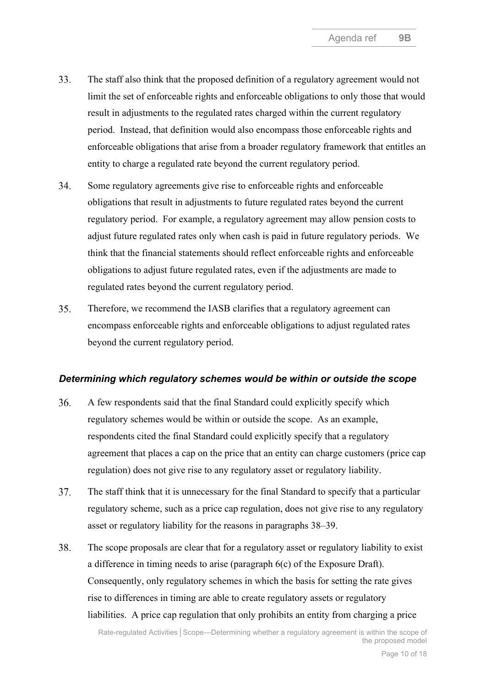- <span id="page-9-2"></span>33. The staff also think that the proposed definition of a regulatory agreement would not limit the set of enforceable rights and enforceable obligations to only those that would result in adjustments to the regulated rates charged within the current regulatory period. Instead, that definition would also encompass those enforceable rights and enforceable obligations that arise from a broader regulatory framework that entitles an entity to charge a regulated rate beyond the current regulatory period.
- 34. Some regulatory agreements give rise to enforceable rights and enforceable obligations that result in adjustments to future regulated rates beyond the current regulatory period. For example, a regulatory agreement may allow pension costs to adjust future regulated rates only when cash is paid in future regulatory periods. We think that the financial statements should reflect enforceable rights and enforceable obligations to adjust future regulated rates, even if the adjustments are made to regulated rates beyond the current regulatory period.
- <span id="page-9-0"></span>35. Therefore, we recommend the IASB clarifies that a regulatory agreement can encompass enforceable rights and enforceable obligations to adjust regulated rates beyond the current regulatory period.

# *Determining which regulatory schemes would be within or outside the scope*

- <span id="page-9-1"></span>36. A few respondents said that the final Standard could explicitly specify which regulatory schemes would be within or outside the scope. As an example, respondents cited the final Standard could explicitly specify that a regulatory agreement that places a cap on the price that an entity can charge customers (price cap regulation) does not give rise to any regulatory asset or regulatory liability.
- 37. The staff think that it is unnecessary for the final Standard to specify that a particular regulatory scheme, such as a price cap regulation, does not give rise to any regulatory asset or regulatory liability for the reasons in paragraphs 38[–39.](#page-10-2)
- 38. The scope proposals are clear that for a regulatory asset or regulatory liability to exist a difference in timing needs to arise (paragraph 6(c) of the Exposure Draft). Consequently, only regulatory schemes in which the basis for setting the rate gives rise to differences in timing are able to create regulatory assets or regulatory liabilities. A price cap regulation that only prohibits an entity from charging a price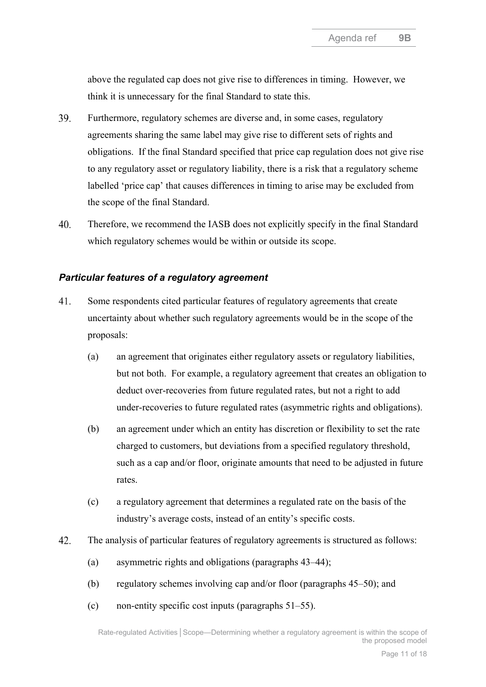above the regulated cap does not give rise to differences in timing. However, we think it is unnecessary for the final Standard to state this.

- <span id="page-10-2"></span>39. Furthermore, regulatory schemes are diverse and, in some cases, regulatory agreements sharing the same label may give rise to different sets of rights and obligations. If the final Standard specified that price cap regulation does not give rise to any regulatory asset or regulatory liability, there is a risk that a regulatory scheme labelled 'price cap' that causes differences in timing to arise may be excluded from the scope of the final Standard.
- <span id="page-10-0"></span> $40.$ Therefore, we recommend the IASB does not explicitly specify in the final Standard which regulatory schemes would be within or outside its scope.

### *Particular features of a regulatory agreement*

- <span id="page-10-1"></span>41. Some respondents cited particular features of regulatory agreements that create uncertainty about whether such regulatory agreements would be in the scope of the proposals:
	- (a) an agreement that originates either regulatory assets or regulatory liabilities, but not both. For example, a regulatory agreement that creates an obligation to deduct over-recoveries from future regulated rates, but not a right to add under-recoveries to future regulated rates (asymmetric rights and obligations).
	- (b) an agreement under which an entity has discretion or flexibility to set the rate charged to customers, but deviations from a specified regulatory threshold, such as a cap and/or floor, originate amounts that need to be adjusted in future rates.
	- (c) a regulatory agreement that determines a regulated rate on the basis of the industry's average costs, instead of an entity's specific costs.
- 42. The analysis of particular features of regulatory agreements is structured as follows:
	- (a) asymmetric rights and obligations (paragraphs [43–](#page-11-0)[44\)](#page-11-1);
	- (b) regulatory schemes involving cap and/or floor (paragraphs [45](#page-11-2)[–50\)](#page-12-0); and
	- (c) non-entity specific cost inputs (paragraphs [51–](#page-12-1)[55\)](#page-13-0).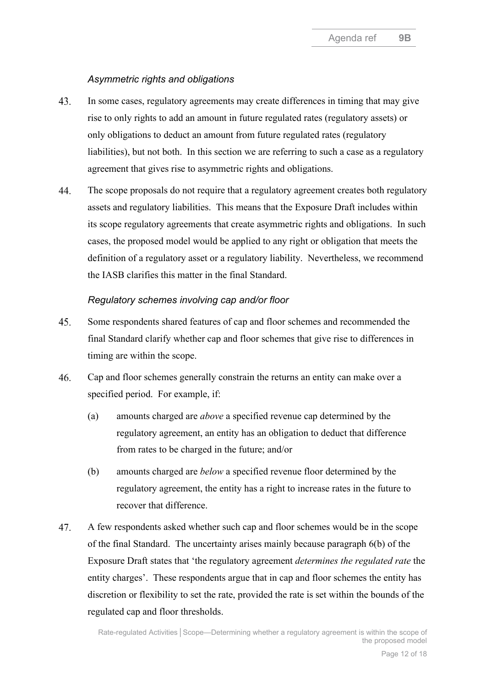#### *Asymmetric rights and obligations*

- <span id="page-11-0"></span>43. In some cases, regulatory agreements may create differences in timing that may give rise to only rights to add an amount in future regulated rates (regulatory assets) or only obligations to deduct an amount from future regulated rates (regulatory liabilities), but not both. In this section we are referring to such a case as a regulatory agreement that gives rise to asymmetric rights and obligations.
- <span id="page-11-1"></span>44. The scope proposals do not require that a regulatory agreement creates both regulatory assets and regulatory liabilities. This means that the Exposure Draft includes within its scope regulatory agreements that create asymmetric rights and obligations. In such cases, the proposed model would be applied to any right or obligation that meets the definition of a regulatory asset or a regulatory liability. Nevertheless, we recommend the IASB clarifies this matter in the final Standard.

#### *Regulatory schemes involving cap and/or floor*

- <span id="page-11-2"></span>Some respondents shared features of cap and floor schemes and recommended the 45. final Standard clarify whether cap and floor schemes that give rise to differences in timing are within the scope.
- <span id="page-11-3"></span>46. Cap and floor schemes generally constrain the returns an entity can make over a specified period. For example, if:
	- (a) amounts charged are *above* a specified revenue cap determined by the regulatory agreement, an entity has an obligation to deduct that difference from rates to be charged in the future; and/or
	- (b) amounts charged are *below* a specified revenue floor determined by the regulatory agreement, the entity has a right to increase rates in the future to recover that difference.
- 47. A few respondents asked whether such cap and floor schemes would be in the scope of the final Standard. The uncertainty arises mainly because paragraph 6(b) of the Exposure Draft states that 'the regulatory agreement *determines the regulated rate* the entity charges'. These respondents argue that in cap and floor schemes the entity has discretion or flexibility to set the rate, provided the rate is set within the bounds of the regulated cap and floor thresholds.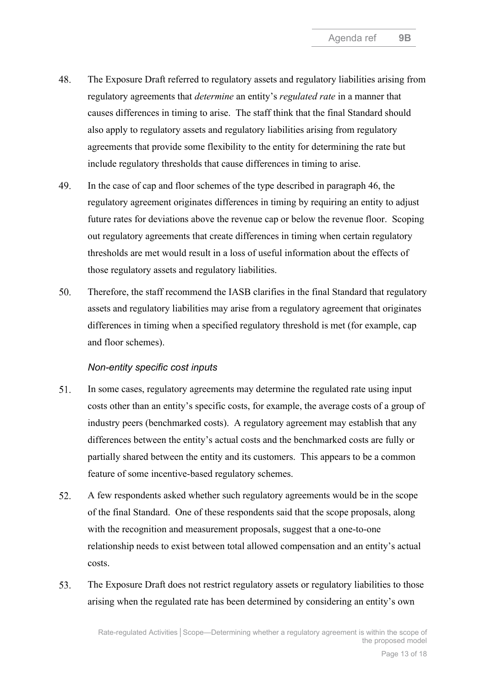- 48. The Exposure Draft referred to regulatory assets and regulatory liabilities arising from regulatory agreements that *determine* an entity's *regulated rate* in a manner that causes differences in timing to arise. The staff think that the final Standard should also apply to regulatory assets and regulatory liabilities arising from regulatory agreements that provide some flexibility to the entity for determining the rate but include regulatory thresholds that cause differences in timing to arise.
- 49. In the case of cap and floor schemes of the type described in paragraph [46,](#page-11-3) the regulatory agreement originates differences in timing by requiring an entity to adjust future rates for deviations above the revenue cap or below the revenue floor. Scoping out regulatory agreements that create differences in timing when certain regulatory thresholds are met would result in a loss of useful information about the effects of those regulatory assets and regulatory liabilities.
- <span id="page-12-0"></span> $50<sub>1</sub>$ Therefore, the staff recommend the IASB clarifies in the final Standard that regulatory assets and regulatory liabilities may arise from a regulatory agreement that originates differences in timing when a specified regulatory threshold is met (for example, cap and floor schemes).

#### *Non-entity specific cost inputs*

- <span id="page-12-1"></span>51. In some cases, regulatory agreements may determine the regulated rate using input costs other than an entity's specific costs, for example, the average costs of a group of industry peers (benchmarked costs). A regulatory agreement may establish that any differences between the entity's actual costs and the benchmarked costs are fully or partially shared between the entity and its customers. This appears to be a common feature of some incentive-based regulatory schemes.
- 52. A few respondents asked whether such regulatory agreements would be in the scope of the final Standard. One of these respondents said that the scope proposals, along with the recognition and measurement proposals, suggest that a one-to-one relationship needs to exist between total allowed compensation and an entity's actual costs.
- 53. The Exposure Draft does not restrict regulatory assets or regulatory liabilities to those arising when the regulated rate has been determined by considering an entity's own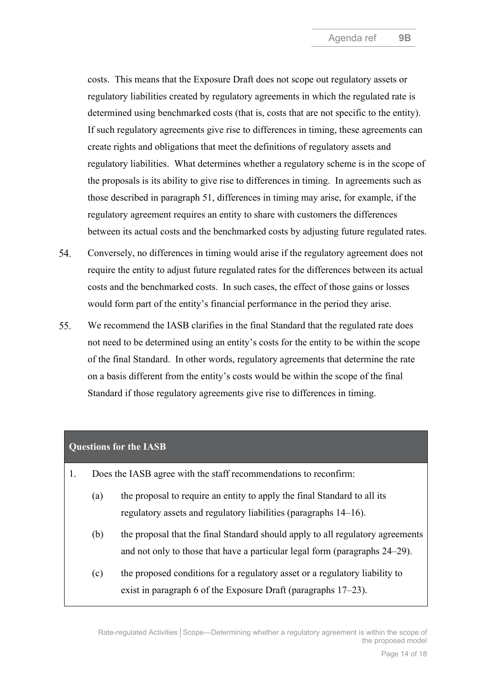costs. This means that the Exposure Draft does not scope out regulatory assets or regulatory liabilities created by regulatory agreements in which the regulated rate is determined using benchmarked costs (that is, costs that are not specific to the entity). If such regulatory agreements give rise to differences in timing, these agreements can create rights and obligations that meet the definitions of regulatory assets and regulatory liabilities. What determines whether a regulatory scheme is in the scope of the proposals is its ability to give rise to differences in timing. In agreements such as those described in paragraph [51,](#page-12-1) differences in timing may arise, for example, if the regulatory agreement requires an entity to share with customers the differences between its actual costs and the benchmarked costs by adjusting future regulated rates.

- 54. Conversely, no differences in timing would arise if the regulatory agreement does not require the entity to adjust future regulated rates for the differences between its actual costs and the benchmarked costs. In such cases, the effect of those gains or losses would form part of the entity's financial performance in the period they arise.
- <span id="page-13-0"></span>55. We recommend the IASB clarifies in the final Standard that the regulated rate does not need to be determined using an entity's costs for the entity to be within the scope of the final Standard. In other words, regulatory agreements that determine the rate on a basis different from the entity's costs would be within the scope of the final Standard if those regulatory agreements give rise to differences in timing.

#### **Questions for the IASB**

- 1. Does the IASB agree with the staff recommendations to reconfirm:
	- (a) the proposal to require an entity to apply the final Standard to all its regulatory assets and regulatory liabilities (paragraphs [14](#page-4-0)[–16\)](#page-4-5).
	- (b) the proposal that the final Standard should apply to all regulatory agreements and not only to those that have a particular legal form (paragraphs [24](#page-7-0)[–29\)](#page-7-1).
	- (c) the proposed conditions for a regulatory asset or a regulatory liability to exist in paragraph 6 of the Exposure Draft (paragraphs [17](#page-4-2)[–23\)](#page-6-0).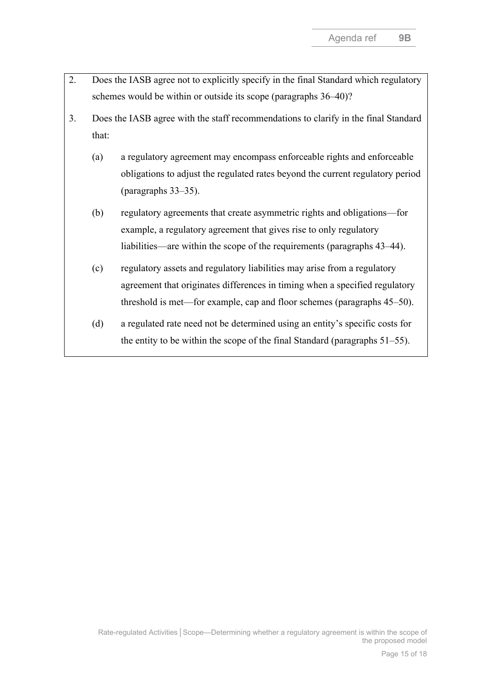- 2. Does the IASB agree not to explicitly specify in the final Standard which regulatory schemes would be within or outside its scope (paragraphs [36–](#page-9-1)[40\)](#page-10-0)?
- 3. Does the IASB agree with the staff recommendations to clarify in the final Standard that:
	- (a) a regulatory agreement may encompass enforceable rights and enforceable obligations to adjust the regulated rates beyond the current regulatory period (paragraphs [33–](#page-9-2)[35\)](#page-9-0).
	- (b) regulatory agreements that create asymmetric rights and obligations—for example, a regulatory agreement that gives rise to only regulatory liabilities—are within the scope of the requirements (paragraphs [43](#page-11-0)[–44\)](#page-11-1).
	- (c) regulatory assets and regulatory liabilities may arise from a regulatory agreement that originates differences in timing when a specified regulatory threshold is met—for example, cap and floor schemes (paragraphs [45](#page-11-2)[–50\)](#page-12-0).
	- (d) a regulated rate need not be determined using an entity's specific costs for the entity to be within the scope of the final Standard (paragraphs [51–](#page-12-1)[55\)](#page-13-0).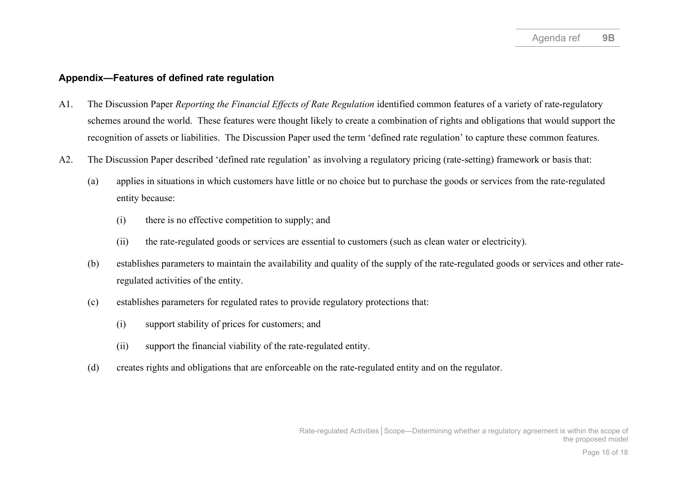### **Appendix—Features of defined rate regulation**

- A1. The Discussion Paper *Reporting the Financial Effects of Rate Regulation* identified common features of a variety of rate-regulatory schemes around the world. These features were thought likely to create a combination of rights and obligations that would support the recognition of assets or liabilities. The Discussion Paper used the term 'defined rate regulation' to capture these common features.
- A2. The Discussion Paper described 'defined rate regulation' as involving a regulatory pricing (rate-setting) framework or basis that:
	- (a) applies in situations in which customers have little or no choice but to purchase the goods or services from the rate-regulated entity because:
		- (i) there is no effective competition to supply; and
		- (ii) the rate-regulated goods or services are essential to customers (such as clean water or electricity).
	- (b) establishes parameters to maintain the availability and quality of the supply of the rate-regulated goods or services and other rateregulated activities of the entity.
	- (c) establishes parameters for regulated rates to provide regulatory protections that:
		- (i) support stability of prices for customers; and
		- (ii) support the financial viability of the rate-regulated entity.
	- (d) creates rights and obligations that are enforceable on the rate-regulated entity and on the regulator.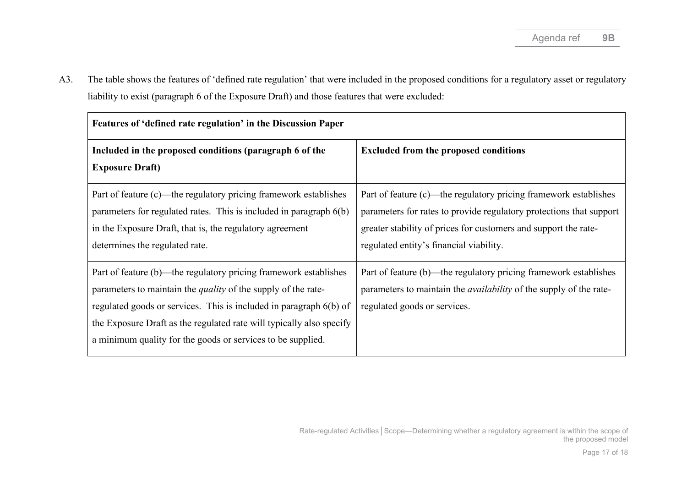A3. The table shows the features of 'defined rate regulation' that were included in the proposed conditions for a regulatory asset or regulatory liability to exist (paragraph 6 of the Exposure Draft) and those features that were excluded:

| Features of 'defined rate regulation' in the Discussion Paper                                                                                                                                                                                                                                                                                         |                                                                                                                                                                                                                                                       |  |  |  |
|-------------------------------------------------------------------------------------------------------------------------------------------------------------------------------------------------------------------------------------------------------------------------------------------------------------------------------------------------------|-------------------------------------------------------------------------------------------------------------------------------------------------------------------------------------------------------------------------------------------------------|--|--|--|
| Included in the proposed conditions (paragraph 6 of the<br><b>Exposure Draft)</b>                                                                                                                                                                                                                                                                     | <b>Excluded from the proposed conditions</b>                                                                                                                                                                                                          |  |  |  |
| Part of feature (c)—the regulatory pricing framework establishes<br>parameters for regulated rates. This is included in paragraph 6(b)<br>in the Exposure Draft, that is, the regulatory agreement<br>determines the regulated rate.                                                                                                                  | Part of feature (c)—the regulatory pricing framework establishes<br>parameters for rates to provide regulatory protections that support<br>greater stability of prices for customers and support the rate-<br>regulated entity's financial viability. |  |  |  |
| Part of feature (b)—the regulatory pricing framework establishes<br>parameters to maintain the <i>quality</i> of the supply of the rate-<br>regulated goods or services. This is included in paragraph 6(b) of<br>the Exposure Draft as the regulated rate will typically also specify<br>a minimum quality for the goods or services to be supplied. | Part of feature (b)—the regulatory pricing framework establishes<br>parameters to maintain the <i>availability</i> of the supply of the rate-<br>regulated goods or services.                                                                         |  |  |  |